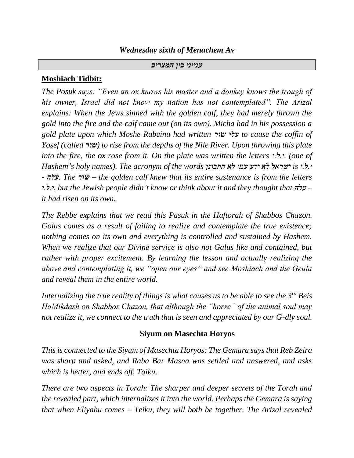# *Wednesday sixth of Menachem Av*

### *ענייני בין המצרים*

# **Moshiach Tidbit:**

*The Posuk says: "Even an ox knows his master and a donkey knows the trough of his owner, Israel did not know my nation has not contemplated". The Arizal explains: When the Jews sinned with the golden calf, they had merely thrown the gold into the fire and the calf came out (on its own). Micha had in his possession a gold plate upon which Moshe Rabeinu had written שור עלי to cause the coffin of Yosef (called שור (to rise from the depths of the Nile River. Upon throwing this plate into the fire, the ox rose from it. On the plate was written the letters י.ל.י.) one of Hashem's holy names). The acronym of the words התבונן לא עמי ידע לא ישראל is י.ל.י - עלה. The שור – the golden calf knew that its entire sustenance is from the letters י.ל.י, but the Jewish people didn't know or think about it and they thought that עלה– it had risen on its own.*

*The Rebbe explains that we read this Pasuk in the Haftorah of Shabbos Chazon. Golus comes as a result of failing to realize and contemplate the true existence; nothing comes on its own and everything is controlled and sustained by Hashem. When we realize that our Divine service is also not Galus like and contained, but rather with proper excitement. By learning the lesson and actually realizing the above and contemplating it, we "open our eyes" and see Moshiach and the Geula and reveal them in the entire world.*

*Internalizing the true reality of things is what causes us to be able to see the 3rd Beis HaMikdash on Shabbos Chazon, that although the "horse" of the animal soul may not realize it, we connect to the truth that is seen and appreciated by our G-dly soul.*

### **Siyum on Masechta Horyos**

*This is connected to the Siyum of Masechta Horyos: The Gemara says that Reb Zeira was sharp and asked, and Raba Bar Masna was settled and answered, and asks which is better, and ends off, Taiku.*

*There are two aspects in Torah: The sharper and deeper secrets of the Torah and the revealed part, which internalizes it into the world. Perhaps the Gemara is saying that when Eliyahu comes – Teiku, they will both be together. The Arizal revealed*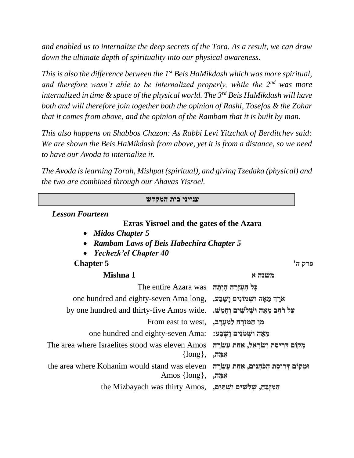*and enabled us to internalize the deep secrets of the Tora. As a result, we can draw down the ultimate depth of spirituality into our physical awareness.*

*This is also the difference between the 1st Beis HaMikdash which was more spiritual, and therefore wasn't able to be internalized properly, while the 2nd was more internalized in time & space of the physical world. The 3rd Beis HaMikdash will have both and will therefore join together both the opinion of Rashi, Tosefos & the Zohar that it comes from above, and the opinion of the Rambam that it is built by man.*

*This also happens on Shabbos Chazon: As Rabbi Levi Yitzchak of Berditchev said: We are shown the Beis HaMikdash from above, yet it is from a distance, so we need to have our Avoda to internalize it.*

*The Avoda is learning Torah, Mishpat (spiritual), and giving Tzedaka (physical) and the two are combined through our Ahavas Yisroel.*

| ענייני בית המקדש                                                            |                                                          |  |
|-----------------------------------------------------------------------------|----------------------------------------------------------|--|
| <b>Lesson Fourteen</b>                                                      |                                                          |  |
| <b>Ezras Yisroel and the gates of the Azara</b>                             |                                                          |  |
| • Midos Chapter 5                                                           |                                                          |  |
| <b>Rambam Laws of Beis Habechira Chapter 5</b>                              |                                                          |  |
| Yechezk'el Chapter 40                                                       |                                                          |  |
| <b>Chapter 5</b>                                                            | פרק ה'                                                   |  |
| Mishna 1                                                                    | משנה א                                                   |  |
| כְּל הָעֲזֶרָה הָיִתָּה The entire Azara was                                |                                                          |  |
| one hundred and eighty-seven Ama long, אֵרֵךְ מֵאָה וּשָׁמוֹנִים וַשֵּׁבַע, |                                                          |  |
| by one hundred and thirty-five Amos wide.                                   | על רחב מאה ושלשים וחמש.                                  |  |
| קו המזרח למערב, From east to west,                                          |                                                          |  |
| one hundred and eighty-seven Ama: נִאֲאָה וּשָׁמֹּנִים וָשֵׁבַע:            |                                                          |  |
| The area where Israelites stood was eleven Amos<br>$\{long\}, \; ,$ אַמֶּה, | מִקוֹם דְרִיסַת יִשְׂרַאֵל, אַחַת עֲשְׂרֶה               |  |
| the area where Kohanim would stand was eleven<br>Amos $\{long\},\$          | וּמִקוֹם דְרִיסַת הַכֹּהֵנִים, אַחַת עֵשְׂרֵה<br>אַמָּה, |  |
| the Mizbayach was thirty Amos, , הַמְּזְבֶּחַ, שְׁלִשִּׁיִם וּשְׁתַּיִם,    |                                                          |  |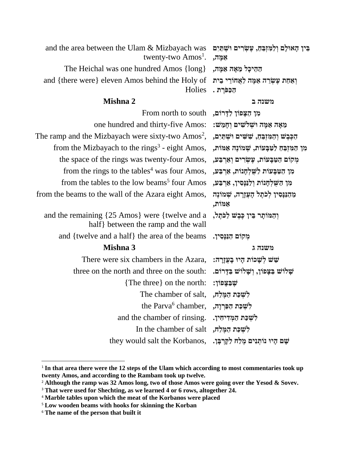| and the area between the Ulam & Mizbayach was<br>twenty-two Amos <sup>1</sup> .       | בִּין הָאוּלָם וְלַמְזְבֵהָ, עֵשְׂרִים וּשִׁתַּיִם<br>אַמָּה, |
|---------------------------------------------------------------------------------------|---------------------------------------------------------------|
| The Heichal was one hundred Amos {long}                                               | הַהֵיכָל מֵאָה אַמָּה,                                        |
| and {there were} eleven Amos behind the Holy of<br>Holies                             | ואחת עשרה אמה לאחורי בית<br>הַכַּפּׂרַת .                     |
| Mishna 2                                                                              | משנה ב                                                        |
| מן הַצָּפוֹן לַדָּרוֹם, From north to south                                           |                                                               |
| one hundred and thirty-five Amos:                                                     | מֵאָה אַמָּה וּשִׁלֹשִׁים וְחָמֵשׁ:                           |
| The ramp and the Mizbayach were sixty-two $Amos2$ ,                                   | הַכִּבִשׁ וְהַמִּזְבֵה, שִׁשִּׁים וּשְׁתַּיִם,                |
| from the Mizbayach to the rings <sup>3</sup> - eight Amos,                            | מן המזבח לטבעות, שמונה אמות,                                  |
| the space of the rings was twenty-four Amos,                                          | מְקוֹם הַטַּבְּעוֹת, עָשְׂרִים וְאַרְבַּע,                    |
| from the rings to the tables <sup>4</sup> was four Amos,                              | מן הטבעות לשלחנות, ארבע,                                      |
| from the tables to the low beams <sup>5</sup> four Amos                               | מן השלחנות ולננסיו, ארבע,                                     |
| from the beams to the wall of the Azara eight Amos,                                   | מֵהַנַּנְסִין לְכֹתֶל הָעֲזֶרָה, שְׁמוֹנֶה<br>אַמּוֹת,        |
| and the remaining {25 Amos} were {twelve and a<br>half} between the ramp and the wall | וִהַמּוֹתַר בִּין כִּבֵשׁ לַכֹּתֵל,                           |
| and {twelve and a half} the area of the beams                                         | מִקוֹם הַנַּנְסִין.                                           |
| Mishna 3                                                                              | משנה ג                                                        |
| There were six chambers in the Azara,                                                 | שֵׁשׁ לְשָׁכוֹת הָיוּ בָעֲזֶרָה:                              |
| three on the north and three on the south:                                            | שַׁלוֹשׁ בַּצְפוֹן, וִשָׁלוֹשׁ בַּדָּרוֹם.                    |
| {The three} on the north:                                                             | שִׁבַּצָפוֹן:                                                 |
| The chamber of salt,                                                                  | לִשְׁכַּת הַמֶּלַח,                                           |
| the Parva <sup>6</sup> chamber,                                                       | לִשְׁכַּת הַפְּרְוָה,                                         |
| and the chamber of rinsing.                                                           | לִשְׁכַּת הַמְדִיחִין.                                        |
| In the chamber of salt                                                                | לִשְׁכַּת הַמֵּלַח,                                           |
| they would salt the Korbanos,                                                         | שָׁם הָיוּ נוֹתְנִים מֶלַח לַקְרִבְּן.                        |

<sup>&</sup>lt;sup>1</sup> In that area there were the 12 steps of the Ulam which according to most commentaries took up **twenty Amos, and according to the Rambam took up twelve.**

<sup>2</sup> **Although the ramp was 32 Amos long, two of those Amos were going over the Yesod & Sovev.**

<sup>3</sup> **That were used for Shechting, as we learned 4 or 6 rows, altogether 24.**

<sup>4</sup> **Marble tables upon which the meat of the Korbanos were placed**

<sup>5</sup> **Low wooden beams with hooks for skinning the Korban**

<sup>6</sup> **The name of the person that built it**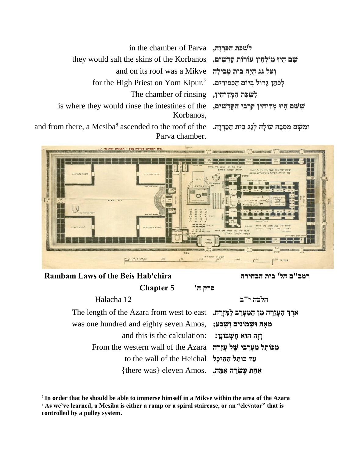| in the chamber of Parva הַפּרְוַה,                                                                                    |  |
|-----------------------------------------------------------------------------------------------------------------------|--|
| they would salt the skins of the Korbanos נשָׁם קַיוּ מּוֹלְחָין עוֹרוֹת קַדָּשִׁים.                                  |  |
| and on its roof was a Mikve ועל גַּג הַיָּה בֵית טִבְילַה                                                             |  |
| for the High Priest on Yom Kipur.<br>7 $\,$ הַפְּפּוּרִים, לְכֹהֵן לְכֹהֵן לְכֹ                                       |  |
| The chamber of rinsing                                                                                                |  |
| is where they would rinse the intestines of the שְּׁשָּׁם הָיוּ מִדְיחִין קְרִבֶי הַקֵּדַשִּׁים,<br>Korbanos.         |  |
| $\bm{{\mathsf m}}$ there, a Mesiba $^8$ ascended to the roof of the וּמִשָּׁם מְסִבָּה עוֹלָה לְגַג בֵּית הַפַּרְוָה. |  |

and from Parva chamber.



# **Rambam Laws of the Beis Hab'chira הבחירה בית' הל ם"רמב**

**פרק ה' 5 Chapter**

**הלכה י"ב** 12 Halacha

 **א**ֶרֶךְ הָעֲזָרָה מִן הַמַּעְרָב לַמִּזְרָה, The length of the Azara from west to east **מֵאָה וּשְׁמֹוֹנִים וְשֵׁבַע:** , was one hundred and eighty seven Amos **וְזֶה הוּא חֲשָׁבּוֹנֵן:** : and this is the calculation מִ כּוֹתֵל מַעְרָבִי שֵׁל עֲזָרָה From the western wall of the Azara **עַד כּוֹתֵל הַהֵיכָל**  to the wall of the Heichal **אַחַת עֵשְׂרֵה אַמֵּה,** eleven Amos.

<sup>7</sup> **In order that he should be able to immerse himself in a Mikve within the area of the Azara**

<sup>8</sup> **As we've learned, a Mesiba is either a ramp or a spiral staircase, or an "elevator" that is controlled by a pulley system.**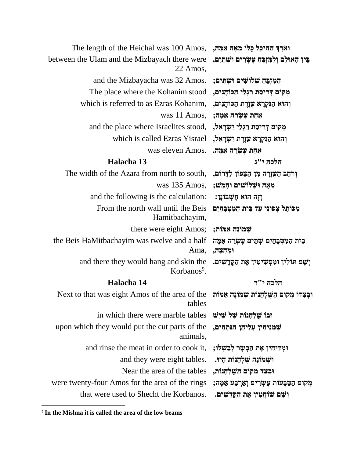| The length of the Heichal was 100 Amos,                                                                     | וְאֹרֶךְ הַהֵיכָל כְּלוֹ מֵאָה אַמָּה,                     |
|-------------------------------------------------------------------------------------------------------------|------------------------------------------------------------|
| between the Ulam and the Mizbayach there were<br>22 Amos,                                                   | בִּין הָאוּלָם וְלַמִּזְבֵּחַ עָשְׂרִים וּשְׁתַיִם,        |
| and the Mizbayacha was 32 Amos.                                                                             | המזִבֵּח שְׁלוֹשִׁים וּשְׁתַּיִם;                          |
| The place where the Kohanim stood                                                                           | מְקוֹם דְרִיסַת רַגְלֵי הַכּוֹהֲנִים,                      |
| which is referred to as Ezras Kohanim,                                                                      | וְהוּא הַנִּקְרָא עֲזֶרֶת הַכּוֹהֲנִים,                    |
| was 11 Amos,                                                                                                | אחת עָשְׂרֵה אַמָּה;                                       |
| and the place where Israelites stood, יִשְׂרָאֵל, and the place where Israelites stood,                     |                                                            |
| which is called Ezras Yisrael                                                                               | וְהוּא הַנִּקְרָא עֲזֶרֶת יִשְׂרָאֵל,                      |
| was eleven Amos.                                                                                            | אַחַת עֶשְׂרֵה אַמֶּה.                                     |
| Halacha 13                                                                                                  | הלכה י"ג                                                   |
| The width of the Azara from north to south,                                                                 | וְרֹחַב הָעֲזֶרָה מִן הַצָּפוֹן לַדְרוֹם,                  |
| was 135 Amos,                                                                                               | מֵאָה וּשְׁלוֹשִׁים וְחָמֵשׁ;                              |
| and the following is the calculation:                                                                       | וְזֶה הוּא חֵשְׁבּוֹנֵן:                                   |
| From the north wall until the Beis<br>Hamitbachayim,                                                        | מכותל צפוני עד בית המטבחים                                 |
| there were eight Amos;                                                                                      | שמונה אמות;                                                |
| the Beis HaMitbachayim was twelve and a half<br>Ama,                                                        | בִּית הַמִּטְבָהַיִם שְׁתֵּים עָשְׂרֵה אַמֶּה<br>ומְחִצְה, |
| and there they would hang and skin the<br>Korbanos <sup>9</sup> .                                           | וְשָׁם תּוֹלִין וּמַפְשִׁיטִין אֶת הַקֱדָשִׁים.            |
| Halacha 14                                                                                                  | הלכה י"ד                                                   |
| וּבְצִדּוֹ מְקוֹם הַשָּׁלְחָנוֹת שְׁמוֹנֶה אַמּוֹת Next to that was eight Amos of the area of the<br>tables |                                                            |
| in which there were marble tables                                                                           | וּבוֹ שָׁלְחָנוֹת שָׁל שַׁיִּשׁ                            |
| upon which they would put the cut parts of the<br>animals,                                                  | שָׁמַּנִּיחִין עֲלֵיהֶן הַנְּתָחִים,                       |
| and rinse the meat in order to cook it,                                                                     | וּמְדִיחִין אֶת הַבָּשָׂר לְבַשְׁלוֹ;                      |
| and they were eight tables.                                                                                 | וּשְׁמוֹנָה שָׁלְחָנוֹת הָיוּ.                             |
| Near the area of the tables                                                                                 | וּבְצַד מְקוֹם הַשָּׁלְחָנוֹת,                             |
| were twenty-four Amos for the area of the rings                                                             | מְקוֹם הַטַּבְּעוֹת עֶשְׂרִים וְאַרְבַּע אַמֶּה;           |
| that were used to Shecht the Korbanos.                                                                      | וְשָׁם שׁוּחֲטִין אֶת הַקֱדָשִׁים.                         |

<sup>9</sup> **In the Mishna it is called the area of the low beams**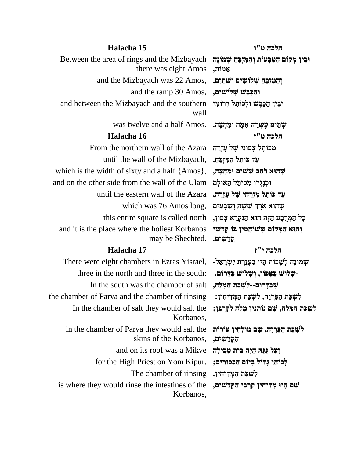## **הלכה ט"ו 15 Halacha**

Between the area of rings and the Mizbayach **וּבֵין מְקוֹם הַטַּבְּעוֹת וְהַמִּזְבֵּה שְׁמוֹנֶה** there was eight Amos **וְהַמְזְבֵּהַ שְׁלֹוּשִׁים וּשְׁתַּיִם,**  and the Mizbayach was 22 Amos, **וְהַכֶּבֵשׁ שְׁלוֹשִׁים, and the ramp 30 Amos,** and between the Mizbayach and the southern wall שְׁ תֵּים עֵשְׂרֵ**ה אַמֶּה וּמֶחְצָה.** .was twelve and a half Amos **הלכה ט"ז 16 Halacha מִכּוֹתֵל צְכּוֹנִי שֵׁל עֲזֵרָה** From the northern wall of the Azara

**עַד כּוֹתַל הַמִּזְבֵהַ,** ,until the wall of the Mizbayach **שְהוּא רֹחַב שִׁשִּׁים וּמֶחִצַה,** , , which is the width of sixty and a half {Amos} **and on the other side from the wall of the Ulam וּכְנְגְדּוֹ מִכּוֹתֵל הָאוּלִם עַד כֹותָּ ל מִ זְרָּ חִ י שֶ ל עֲזָּרָּ ה,** Azara the of wall eastern the until **שְ הּוא אֹרֶ ְך שִ שָּ ה וְ שִ בְ עִ ים** ,long Amos 76 was which כְּל הַמְּרִבַּע הַזֶּה הוּא הַנִּקְרָא צָפּוֹן, this entire square is called north and it is the place where the holiest Korbanos may be Shechted.

### **הלכה י"ז 17 Halacha**

שְמּוֹנֶה לְשָׁכוֹת הָיוּ בַּעֲזֶרֶת יִשְׂרָאֵל- ,There were eight chambers in Ezras Yisrael e in the north and three in the south: **-שֶׁלּוֹשׁ בַּדָּרוֹם-**<br>In the south was the chamber of salt מִמֵּלַח, three in the north and three in the south: לִשְׁכַּת הַפַּרְוַה, לִשְׁכַּת הַמְּדִיחָין: **the chamber of Parva and the chamber of rinsing** In the chamber of salt they would salt the Korbanos, in the chamber of Parva they would salt the skins of the Korbanos, **וְעַל גַּגַּהּ הַיָּה בֵּית טְבִילָה and on its roof was a Mikve לְכֹוֹהֵן גָּדוֹל בְּיוֹם הַכִּפּוּרִים; . for the High Priest on Yom Kipur** לִשְׁכַּת הַמְּדִיחִין, The chamber of rinsing is where they would rinse the intestines of the Korbanos,

# **אַ מֹות, ּובֵ ין הַ כֶבֶ ש ּולְ כֹותָּ ל דְ רֹומִ י**

**וְ הּוא הַמָּ קֹום שֶ שֹוחֲטִ ין בֹו קָּ דְ שֵ י קֳּ דָּ שִ ים.**

לִשְׁכַּת הַמֶּלַח, שָׁם נוֹתְנִין מֵלַח לַקְרִבָּן;

**לִ שְ כַת הַ פַרְ וָּה, שָּ ם מֹולְ חִ ין עֹורֹות הַ קֳּ דָּ שִ ים, שָּ ם הָּ יּו מְ דִ יחִ ין קִ רְ בֵ י הַ קֳּ דָּ שִ ים,**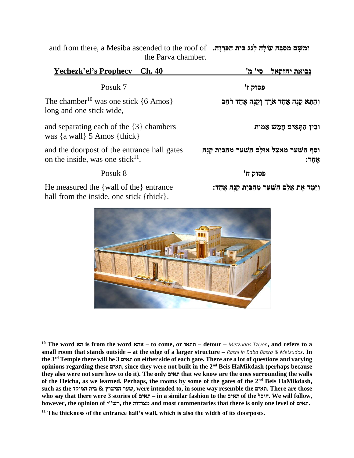and from there, a Mesiba ascended to the roof of **ּומִ שָּ ם מְ סִ בָּ ה עֹולָּה לְ גַג בֵ ית הַ פַרְ וָּה.** the Parva chamber.

| Yechezk'el's Prophecy Ch. 40                                                                                 | 'סי' מ<br>נבואת יחזקאל                                               |
|--------------------------------------------------------------------------------------------------------------|----------------------------------------------------------------------|
| Posuk 7                                                                                                      | פסוק ז'                                                              |
| The chamber <sup>10</sup> was one stick $\{6 \text{ Amos}\}\$<br>long and one stick wide,                    | וְהַתָּא קָנֶה אֶחָד אֹרֶךְ וְקָנֶה אֶחָד רֹחַב                      |
| and separating each of the $\{3\}$ chambers<br>was $\{a \text{ wall}\}\, 5 \text{ Amos } \{ \text{thick}\}\$ | וּבִין הַתַּאִים חַמֵּשׁ אַמּוֹת                                     |
| and the doorpost of the entrance hall gates<br>on the inside, was one stick $^{11}$ .                        | וִסַף הַשַּׁעַר מֵאֵצֵל אוּלַם הַשַּׁעַר מֵהַבִּיִת קַנֶּה<br>אֵחַד: |
| Posuk 8                                                                                                      | פסוק ח'                                                              |
| He measured the {wall of the} entrance                                                                       | וַיָּמַד אֵת אָלָם הַשַּׁעַר מֵהַבִּיִת קֵנֵה אֵחָד:                 |

hall from the inside, one stick {thick}.

**<sup>10</sup> The word תא is from the word אתא – to come, or תתאו – detour –** *Metzudas Tziyon***, and refers to a small room that stands outside – at the edge of a larger structure –** *Rashi in Baba Basra & Metzudos***. In the 3rd Temple there will be 3 תאים on either side of each gate. There are a lot of questions and varying opinions regarding these תאים, since they were not built in the 2nd Beis HaMikdash (perhaps because they also were not sure how to do it). The only תאים that we know are the ones surrounding the walls of the Heicha, as we learned. Perhaps, the rooms by some of the gates of the 2nd Beis HaMikdash, such as the המוקד בית & הניצוץ שער, were intended to, in some way resemble the תאים. There are those who say that there were 3 stories of תאים – in a similar fashion to the תאים of the היכל. We will follow, however, the opinion of י"רש, the מצודות and most commentaries that there is only one level of תאים.**

**<sup>11</sup> The thickness of the entrance hall's wall, which is also the width of its doorposts.**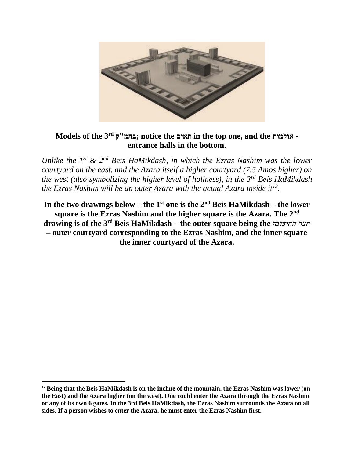

# **Models of the 3rd ק"בהמ ;notice the תאים in the top one, and the אולמות entrance halls in the bottom.**

*Unlike the 1st & 2nd Beis HaMikdash, in which the Ezras Nashim was the lower courtyard on the east, and the Azara itself a higher courtyard (7.5 Amos higher) on the west (also symbolizing the higher level of holiness), in the 3rd Beis HaMikdash the Ezras Nashim will be an outer Azara with the actual Azara inside it<sup>12</sup> .* 

**In the two drawings below – the 1st one is the 2nd Beis HaMikdash – the lower square is the Ezras Nashim and the higher square is the Azara. The 2nd drawing is of the 3rd Beis HaMikdash – the outer square being the** *החיצונה חצר* **– outer courtyard corresponding to the Ezras Nashim, and the inner square the inner courtyard of the Azara.**

<sup>12</sup> **Being that the Beis HaMikdash is on the incline of the mountain, the Ezras Nashim was lower (on the East) and the Azara higher (on the west). One could enter the Azara through the Ezras Nashim or any of its own 6 gates. In the 3rd Beis HaMikdash, the Ezras Nashim surrounds the Azara on all sides. If a person wishes to enter the Azara, he must enter the Ezras Nashim first.**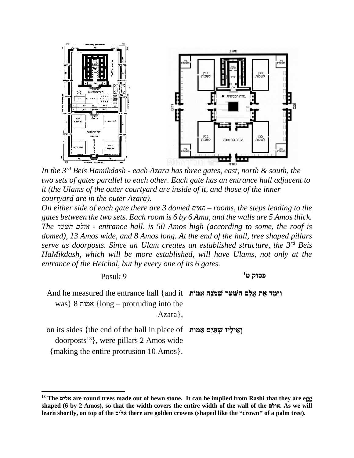

*In the 3rd Beis Hamikdash - each Azara has three gates, east, north & south, the two sets of gates parallel to each other. Each gate has an entrance hall adjacent to it (the Ulams of the outer courtyard are inside of it, and those of the inner courtyard are in the outer Azara).*

*On either side of each gate there are 3 domed תאים – rooms, the steps leading to the gates between the two sets. Each room is 6 by 6 Ama, and the walls are 5 Amos thick. The השער אולם - entrance hall, is 50 Amos high (according to some, the roof is domed), 13 Amos wide, and 8 Amos long. At the end of the hall, tree shaped pillars serve as doorposts. Since an Ulam creates an established structure, the 3rd Beis HaMikdash, which will be more established, will have Ulams, not only at the entrance of the Heichal, but by every one of its 6 gates.* 

**פסוק ט'** 9 Posuk

And he measured the entrance hall {and it **וַיָּמָּ ד אֶ ת אֻּׁלָּם הַ שַ עַר שְ מֹנֶה אַ מֹות** was} 8 אמות} long – protruding into the Azara},

on its sides {the end of the hall in place of **וְ אֵ ילָּיו שְ תַ יִם אַ מֹות**   $door posts<sup>13</sup>$ , were pillars 2 Amos wide

{making the entire protrusion 10 Amos}.

**<sup>13</sup> The אלים are round trees made out of hewn stone. It can be implied from Rashi that they are egg shaped (6 by 2 Amos), so that the width covers the entire width of the wall of the אולם. As we will learn shortly, on top of the אלים there are golden crowns (shaped like the "crown" of a palm tree).**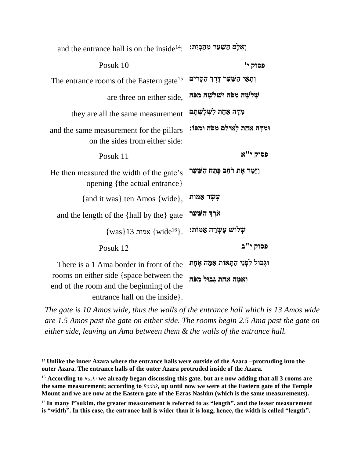| and the entrance hall is on the inside $^{14}$ : יִאֲלָם הַשַּׁעַר מֵהַבְּיִת |
|-------------------------------------------------------------------------------|
| פסוק י'                                                                       |
| וְתָאֵי הַשָּׁעַר דֶּרֶךְ הַקָּדִים                                           |
| שְׁלִשָׁה מִפֹּה וּשְׁלֹשָׁה מִפֹּה                                           |
| מִדָּה אַחַת לִשְׁלַשְׁתַּם                                                   |
| וּמִדָּה אַחַת לָאֵילִם מִפֹּה וּמִפּוֹ:                                      |
| פסוק י"א                                                                      |
| וַיָּמָד אֶת רֹחַב פֶּתַח הַשַּׁעַר                                           |
| עֲשֵׂר אַמּוֹת                                                                |
| אֹרֶךְ הַשַּׁעַר                                                              |
| שלוש עשרה אמות:                                                               |
| פסוק י"ב                                                                      |
| וּגְבוּל לִפְנֵי הַתָּאוֹת אַמָּה אֶחָת<br>וְאַמָּה אַחַת גִּבוּל מִפֹּה      |
|                                                                               |

*The gate is 10 Amos wide, thus the walls of the entrance hall which is 13 Amos wide are 1.5 Amos past the gate on either side. The rooms begin 2.5 Ama past the gate on either side, leaving an Ama between them & the walls of the entrance hall.* 

<sup>&</sup>lt;sup>14</sup> Unlike the inner Azara where the entrance halls were outside of the Azara –protruding into the **outer Azara. The entrance halls of the outer Azara protruded inside of the Azara.**

**<sup>15</sup> According to** *Rashi* **we already began discussing this gate, but are now adding that all 3 rooms are the same measurement; according to** *Radak***, up until now we were at the Eastern gate of the Temple Mount and we are now at the Eastern gate of the Ezras Nashim (which is the same measurements).**

<sup>&</sup>lt;sup>16</sup> In many P'sukim, the greater measurement is referred to as "length", and the lesser measurement **is "width". In this case, the entrance hall is wider than it is long, hence, the width is called "length".**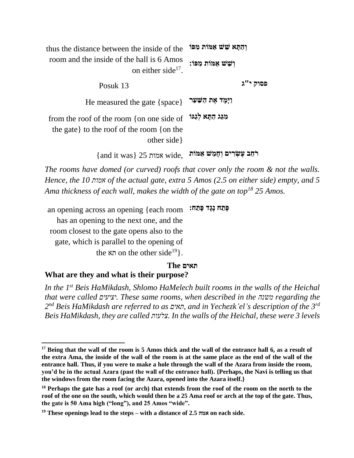| thus the distance between the inside of the                                                                       | והתא שש אמות מפו               |
|-------------------------------------------------------------------------------------------------------------------|--------------------------------|
| room and the inside of the hall is 6 Amos<br>on either side <sup>17</sup> .                                       | וִשָׁשׁ אַמּוֹת מִפּוֹ:        |
| Posuk 13                                                                                                          | פסוק י"ג                       |
| He measured the gate $\{space\}$                                                                                  | וַיָּמָד אֵת הַשַּׁעַר         |
| from the roof of the room {on one side of<br>the gate $\}$ to the roof of the room $\{$ on the<br>other side $\}$ | מגג התא לגגו                   |
| $\{$ and it was $\}$ 25 מאות 25                                                                                   | רחב עָשְׂרִים וְחָמֵשׁ אַמּוֹת |

*The rooms have domed (or curved) roofs that cover only the room & not the walls. Hence, the 10 אמות of the actual gate, extra 5 Amos (2.5 on either side) empty, and 5 Ama thickness of each wall, makes the width of the gate on top<sup>18</sup> 25 Amos.*

an opening across an opening {each room **פֶתַ ח נֶגֶד פָּתַ ח:** has an opening to the next one, and the room closest to the gate opens also to the gate, which is parallel to the opening of the תא on the other side<sup>19</sup>.

### **תאים The**

### **What are they and what is their purpose?**

*In the 1st Beis HaMikdash, Shlomo HaMelech built rooms in the walls of the Heichal that were called יציעים. These same rooms, when described in the משנה regarding the*   $2^{nd}$  Beis HaMikdash are referred to as תאים, and in Yechezk'el's description of the 3<sup>rd</sup> *Beis HaMikdash, they are called צלעות. In the walls of the Heichal, these were 3 levels* 

**<sup>17</sup> Being that the wall of the room is 5 Amos thick and the wall of the entrance hall 6, as a result of the extra Ama, the inside of the wall of the room is at the same place as the end of the wall of the entrance hall. Thus, if you were to make a hole through the wall of the Azara from inside the room, you'd be in the actual Azara (past the wall of the entrance hall). {Perhaps, the Navi is telling us that the windows from the room facing the Azara, opened into the Azara itself.}**

**<sup>18</sup> Perhaps the gate has a roof (or arch) that extends from the roof of the room on the north to the roof of the one on the south, which would then be a 25 Ama roof or arch at the top of the gate. Thus, the gate is 50 Ama high ("long"), and 25 Amos "wide".** 

**<sup>19</sup> These openings lead to the steps – with a distance of 2.5 אמה on each side.**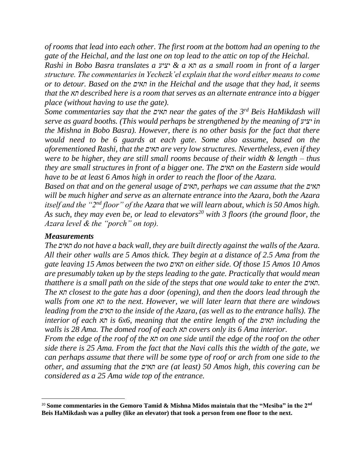*of rooms that lead into each other. The first room at the bottom had an opening to the gate of the Heichal, and the last one on top lead to the attic on top of the Heichal. Rashi in Bobo Basra translates a יציע & a תא as a small room in front of a larger structure. The commentaries in Yechezk'el explain that the word either means to come or to detour. Based on the תאים in the Heichal and the usage that they had, it seems that the תא described here is a room that serves as an alternate entrance into a bigger place (without having to use the gate).*

*Some commentaries say that the תאים near the gates of the 3rd Beis HaMikdash will serve as guard booths. (This would perhaps be strengthened by the meaning of יציע in the Mishna in Bobo Basra). However, there is no other basis for the fact that there would need to be 6 guards at each gate. Some also assume, based on the aforementioned Rashi, that the תאים are very low structures. Nevertheless, even if they were to be higher, they are still small rooms because of their width & length – thus they are small structures in front of a bigger one. The תאים on the Eastern side would have to be at least 6 Amos high in order to reach the floor of the Azara.*

*Based on that and on the general usage of תאים, perhaps we can assume that the תאים will be much higher and serve as an alternate entrance into the Azara, both the Azara itself and the "2nd floor" of the Azara that we will learn about, which is 50 Amos high. As such, they may even be, or lead to elevators<sup>20</sup> with 3 floors (the ground floor, the Azara level & the "porch" on top).* 

# *Measurements*

*The תאים do not have a back wall, they are built directly against the walls of the Azara. All their other walls are 5 Amos thick. They begin at a distance of 2.5 Ama from the gate leaving 15 Amos between the two תאים on either side. Of those 15 Amos 10 Amos are presumably taken up by the steps leading to the gate. Practically that would mean thatthere is a small path on the side of the steps that one would take to enter the תאים. The תא closest to the gate has a door (opening), and then the doors lead through the walls from one תא to the next. However, we will later learn that there are windows leading from the תאים to the inside of the Azara, (as well as to the entrance halls). The interior of each תא is 6x6, meaning that the entire length of the תאים including the walls is 28 Ama. The domed roof of each תא covers only its 6 Ama interior.* 

*From the edge of the roof of the תא on one side until the edge of the roof on the other side there is 25 Ama. From the fact that the Navi calls this the width of the gate, we can perhaps assume that there will be some type of roof or arch from one side to the other, and assuming that the תאים are (at least) 50 Amos high, this covering can be considered as a 25 Ama wide top of the entrance.*

<sup>20</sup> **Some commentaries in the Gemoro Tamid & Mishna Midos maintain that the "Mesiba" in the 2nd Beis HaMikdash was a pulley (like an elevator) that took a person from one floor to the next.**